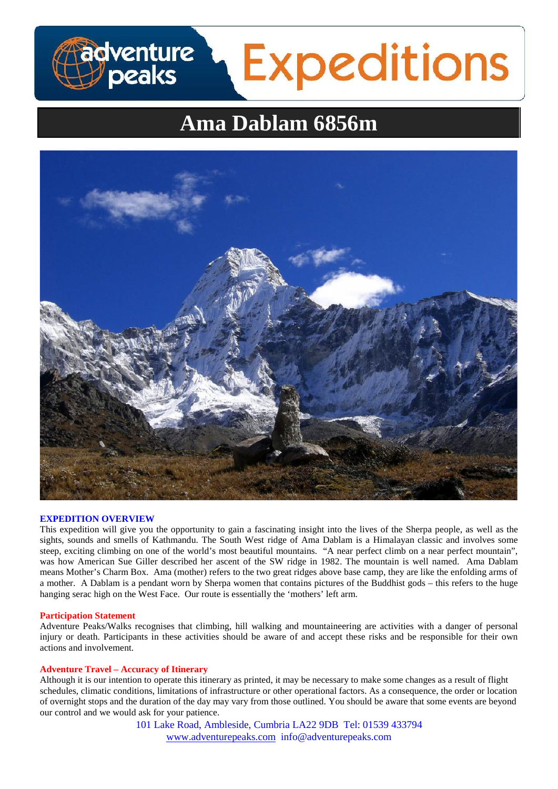# **Ama Dablam 6856m**

**Expeditions** 



### **EXPEDITION OVERVIEW**

dventure<br>/peaks

This expedition will give you the opportunity to gain a fascinating insight into the lives of the Sherpa people, as well as the sights, sounds and smells of Kathmandu. The South West ridge of Ama Dablam is a Himalayan classic and involves some steep, exciting climbing on one of the world's most beautiful mountains. "A near perfect climb on a near perfect mountain", was how American Sue Giller described her ascent of the SW ridge in 1982. The mountain is well named. Ama Dablam means Mother's Charm Box. Ama (mother) refers to the two great ridges above base camp, they are like the enfolding arms of a mother. A Dablam is a pendant worn by Sherpa women that contains pictures of the Buddhist gods – this refers to the huge hanging serac high on the West Face. Our route is essentially the 'mothers' left arm.

#### **Participation Statement**

Adventure Peaks/Walks recognises that climbing, hill walking and mountaineering are activities with a danger of personal injury or death. Participants in these activities should be aware of and accept these risks and be responsible for their own actions and involvement.

#### **Adventure Travel – Accuracy of Itinerary**

Although it is our intention to operate this itinerary as printed, it may be necessary to make some changes as a result of flight schedules, climatic conditions, limitations of infrastructure or other operational factors. As a consequence, the order or location of overnight stops and the duration of the day may vary from those outlined. You should be aware that some events are beyond our control and we would ask for your patience.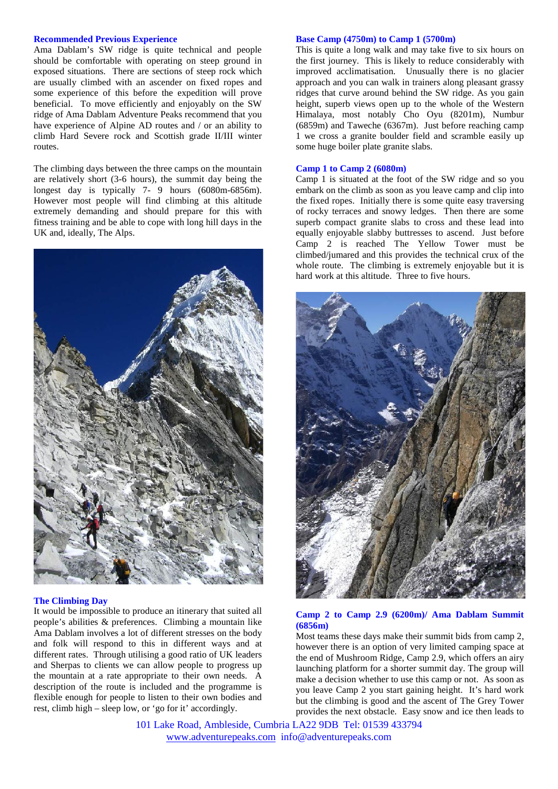#### **Recommended Previous Experience**

Ama Dablam's SW ridge is quite technical and people should be comfortable with operating on steep ground in exposed situations. There are sections of steep rock which are usually climbed with an ascender on fixed ropes and some experience of this before the expedition will prove beneficial. To move efficiently and enjoyably on the SW ridge of Ama Dablam Adventure Peaks recommend that you have experience of Alpine AD routes and / or an ability to climb Hard Severe rock and Scottish grade II/III winter routes.

The climbing days between the three camps on the mountain are relatively short (3-6 hours), the summit day being the longest day is typically 7- 9 hours (6080m-6856m). However most people will find climbing at this altitude extremely demanding and should prepare for this with fitness training and be able to cope with long hill days in the UK and, ideally, The Alps.



#### **The Climbing Day**

It would be impossible to produce an itinerary that suited all people's abilities & preferences. Climbing a mountain like Ama Dablam involves a lot of different stresses on the body and folk will respond to this in different ways and at different rates. Through utilising a good ratio of UK leaders and Sherpas to clients we can allow people to progress up the mountain at a rate appropriate to their own needs. A description of the route is included and the programme is flexible enough for people to listen to their own bodies and rest, climb high – sleep low, or 'go for it' accordingly.

#### **Base Camp (4750m) to Camp 1 (5700m)**

This is quite a long walk and may take five to six hours on the first journey. This is likely to reduce considerably with improved acclimatisation. Unusually there is no glacier approach and you can walk in trainers along pleasant grassy ridges that curve around behind the SW ridge. As you gain height, superb views open up to the whole of the Western Himalaya, most notably Cho Oyu (8201m), Numbur (6859m) and Taweche (6367m). Just before reaching camp 1 we cross a granite boulder field and scramble easily up some huge boiler plate granite slabs.

## **Camp 1 to Camp 2 (6080m)**

Camp 1 is situated at the foot of the SW ridge and so you embark on the climb as soon as you leave camp and clip into the fixed ropes. Initially there is some quite easy traversing of rocky terraces and snowy ledges. Then there are some superb compact granite slabs to cross and these lead into equally enjoyable slabby buttresses to ascend. Just before Camp 2 is reached The Yellow Tower must be climbed/jumared and this provides the technical crux of the whole route. The climbing is extremely enjoyable but it is hard work at this altitude. Three to five hours.



## **Camp 2 to Camp 2.9 (6200m)/ Ama Dablam Summit (6856m)**

Most teams these days make their summit bids from camp 2, however there is an option of very limited camping space at the end of Mushroom Ridge, Camp 2.9, which offers an airy launching platform for a shorter summit day. The group will make a decision whether to use this camp or not. As soon as you leave Camp 2 you start gaining height. It's hard work but the climbing is good and the ascent of The Grey Tower provides the next obstacle. Easy snow and ice then leads to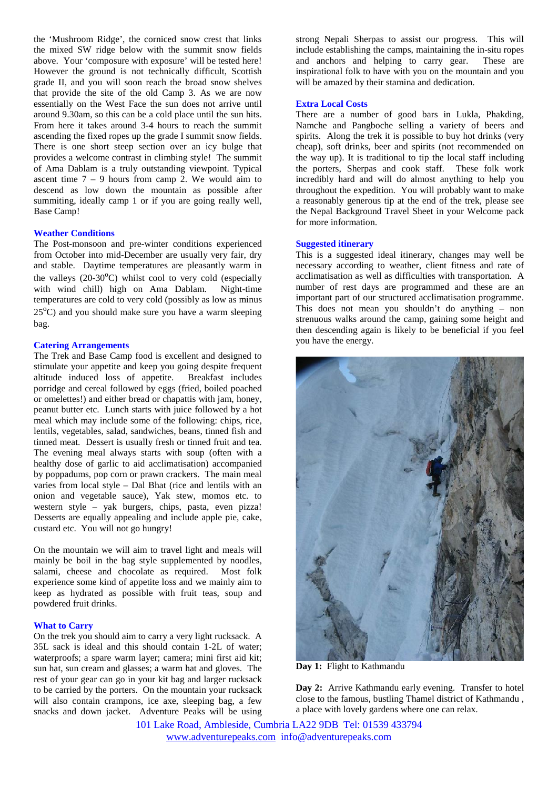the 'Mushroom Ridge', the corniced snow crest that links the mixed SW ridge below with the summit snow fields above. Your 'composure with exposure' will be tested here! However the ground is not technically difficult, Scottish grade II, and you will soon reach the broad snow shelves that provide the site of the old Camp 3. As we are now essentially on the West Face the sun does not arrive until around 9.30am, so this can be a cold place until the sun hits. From here it takes around 3-4 hours to reach the summit ascending the fixed ropes up the grade I summit snow fields. There is one short steep section over an icy bulge that provides a welcome contrast in climbing style! The summit of Ama Dablam is a truly outstanding viewpoint. Typical ascent time  $7 - 9$  hours from camp 2. We would aim to descend as low down the mountain as possible after summiting, ideally camp 1 or if you are going really well, Base Camp!

## **Weather Conditions**

The Post-monsoon and pre-winter conditions experienced from October into mid-December are usually very fair, dry and stable. Daytime temperatures are pleasantly warm in the valleys  $(20-30<sup>o</sup>C)$  whilst cool to very cold (especially with wind chill) high on Ama Dablam. Night-time temperatures are cold to very cold (possibly as low as minus 25ºC) and you should make sure you have a warm sleeping bag.

## **Catering Arrangements**

The Trek and Base Camp food is excellent and designed to stimulate your appetite and keep you going despite frequent altitude induced loss of appetite. Breakfast includes porridge and cereal followed by eggs (fried, boiled poached or omelettes!) and either bread or chapattis with jam, honey, peanut butter etc. Lunch starts with juice followed by a hot meal which may include some of the following: chips, rice, lentils, vegetables, salad, sandwiches, beans, tinned fish and tinned meat. Dessert is usually fresh or tinned fruit and tea. The evening meal always starts with soup (often with a healthy dose of garlic to aid acclimatisation) accompanied by poppadums, pop corn or prawn crackers. The main meal varies from local style – Dal Bhat (rice and lentils with an onion and vegetable sauce), Yak stew, momos etc. to western style – yak burgers, chips, pasta, even pizza! Desserts are equally appealing and include apple pie, cake, custard etc. You will not go hungry!

On the mountain we will aim to travel light and meals will mainly be boil in the bag style supplemented by noodles, salami, cheese and chocolate as required. Most folk experience some kind of appetite loss and we mainly aim to keep as hydrated as possible with fruit teas, soup and powdered fruit drinks.

## **What to Carry**

On the trek you should aim to carry a very light rucksack. A 35L sack is ideal and this should contain 1-2L of water; waterproofs; a spare warm layer; camera; mini first aid kit; sun hat, sun cream and glasses; a warm hat and gloves. The rest of your gear can go in your kit bag and larger rucksack to be carried by the porters. On the mountain your rucksack will also contain crampons, ice axe, sleeping bag, a few snacks and down jacket. Adventure Peaks will be using strong Nepali Sherpas to assist our progress. This will include establishing the camps, maintaining the in-situ ropes and anchors and helping to carry gear. These are inspirational folk to have with you on the mountain and you will be amazed by their stamina and dedication.

#### **Extra Local Costs**

There are a number of good bars in Lukla, Phakding, Namche and Pangboche selling a variety of beers and spirits. Along the trek it is possible to buy hot drinks (very cheap), soft drinks, beer and spirits (not recommended on the way up). It is traditional to tip the local staff including the porters, Sherpas and cook staff. These folk work incredibly hard and will do almost anything to help you throughout the expedition. You will probably want to make a reasonably generous tip at the end of the trek, please see the Nepal Background Travel Sheet in your Welcome pack for more information.

#### **Suggested itinerary**

This is a suggested ideal itinerary, changes may well be necessary according to weather, client fitness and rate of acclimatisation as well as difficulties with transportation. A number of rest days are programmed and these are an important part of our structured acclimatisation programme. This does not mean you shouldn't do anything – non strenuous walks around the camp, gaining some height and then descending again is likely to be beneficial if you feel you have the energy.



**Day 1:** Flight to Kathmandu

**Day 2:** Arrive Kathmandu early evening. Transfer to hotel close to the famous, bustling Thamel district of Kathmandu , a place with lovely gardens where one can relax.